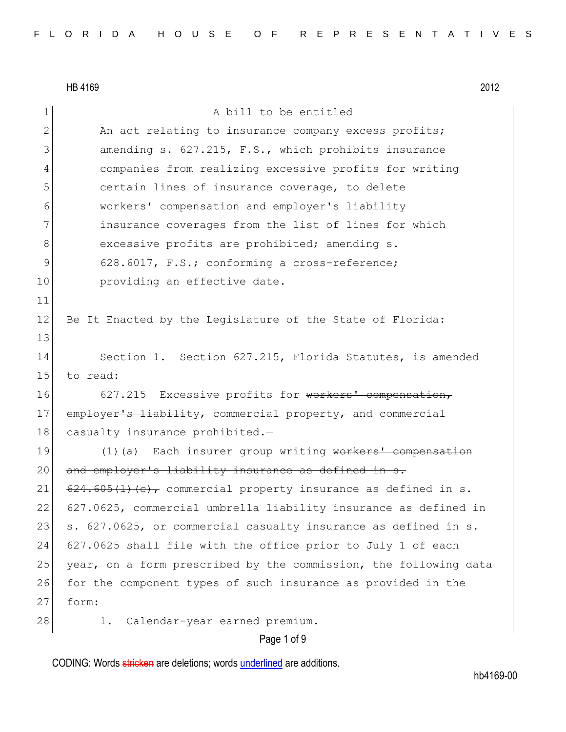|                | HB 4169<br>2012                                                     |
|----------------|---------------------------------------------------------------------|
| $\mathbf 1$    | A bill to be entitled                                               |
| $\overline{2}$ | An act relating to insurance company excess profits;                |
| 3              | amending s. 627.215, F.S., which prohibits insurance                |
| 4              | companies from realizing excessive profits for writing              |
| 5              | certain lines of insurance coverage, to delete                      |
| 6              | workers' compensation and employer's liability                      |
| 7              | insurance coverages from the list of lines for which                |
| 8              | excessive profits are prohibited; amending s.                       |
| 9              | 628.6017, F.S.; conforming a cross-reference;                       |
| 10             | providing an effective date.                                        |
| 11             |                                                                     |
| 12             | Be It Enacted by the Legislature of the State of Florida:           |
| 13             |                                                                     |
| 14             | Section 1. Section 627.215, Florida Statutes, is amended            |
| 15             | to read:                                                            |
| 16             | 627.215 Excessive profits for workers' compensation,                |
| 17             | $\epsilon$ mployer's liability, commercial property, and commercial |
| 18             | casualty insurance prohibited.-                                     |
| 19             | (1) (a) Each insurer group writing workers' compensation            |
| 20             | and employer's liability insurance as defined in s.                 |
| 21             | $624.605(1)(e)$ , commercial property insurance as defined in s.    |
| 22             | 627.0625, commercial umbrella liability insurance as defined in     |
| 23             | s. 627.0625, or commercial casualty insurance as defined in s.      |
| 24             | 627.0625 shall file with the office prior to July 1 of each         |
| 25             | year, on a form prescribed by the commission, the following data    |
| 26             | for the component types of such insurance as provided in the        |
| 27             | form:                                                               |
| 28             | Calendar-year earned premium.<br>1.                                 |
|                |                                                                     |

# Page 1 of 9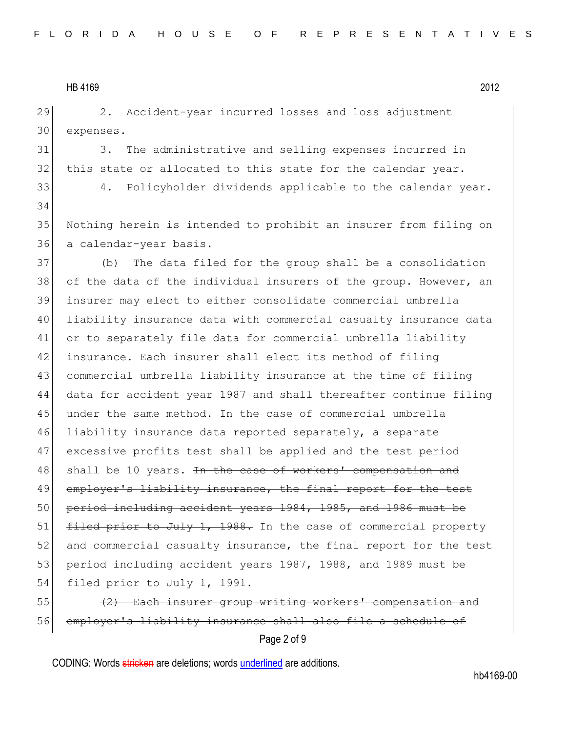29 2. Accident-year incurred losses and loss adjustment 30 expenses.

31 3. The administrative and selling expenses incurred in 32 this state or allocated to this state for the calendar year.

33 4. Policyholder dividends applicable to the calendar year. 34

35 Nothing herein is intended to prohibit an insurer from filing on 36 a calendar-year basis.

37 (b) The data filed for the group shall be a consolidation 38 of the data of the individual insurers of the group. However, an 39 insurer may elect to either consolidate commercial umbrella 40 liability insurance data with commercial casualty insurance data 41 or to separately file data for commercial umbrella liability 42 insurance. Each insurer shall elect its method of filing 43 commercial umbrella liability insurance at the time of filing 44 data for accident year 1987 and shall thereafter continue filing 45 under the same method. In the case of commercial umbrella 46 liability insurance data reported separately, a separate 47 excessive profits test shall be applied and the test period 48 shall be 10 years. <del>In the case of workers' compensation and</del> 49 employer's liability insurance, the final report for the test 50 period including accident years 1984, 1985, and 1986 must be 51 filed prior to July 1, 1988. In the case of commercial property 52 and commercial casualty insurance, the final report for the test 53 period including accident years 1987, 1988, and 1989 must be 54 filed prior to July 1, 1991.

55 (2) Each insurer group writing workers' compensation and 56 employer's liability insurance shall also file a schedule of

Page 2 of 9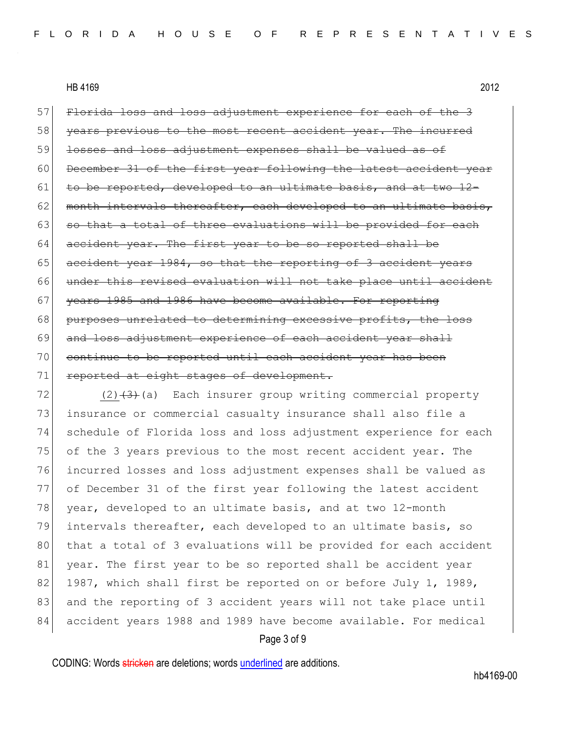57 Florida loss and loss adjustment experience for each of the 3 58 years previous to the most recent accident year. The incurred 59 losses and loss adjustment expenses shall be valued as of 60 December 31 of the first year following the latest accident year  $61$  to be reported, developed to an ultimate basis, and at two  $12-$ 62 month intervals thereafter, each developed to an ultimate basis,  $63$  so that a total of three evaluations will be provided for each 64 accident year. The first year to be so reported shall be 65 accident year 1984, so that the reporting of 3 accident years 66 under this revised evaluation will not take place until accident 67 years 1985 and 1986 have become available. For reporting 68 purposes unrelated to determining excessive profits, the loss 69 and loss adjustment experience of each accident year shall 70 continue to be reported until each accident year has been 71 reported at eight stages of development.

 (2)<del>(3)</del>(a) Each insurer group writing commercial property insurance or commercial casualty insurance shall also file a schedule of Florida loss and loss adjustment experience for each of the 3 years previous to the most recent accident year. The incurred losses and loss adjustment expenses shall be valued as of December 31 of the first year following the latest accident 78 year, developed to an ultimate basis, and at two 12-month intervals thereafter, each developed to an ultimate basis, so 80 that a total of 3 evaluations will be provided for each accident 81 year. The first year to be so reported shall be accident year 82 1987, which shall first be reported on or before July 1, 1989, 83 and the reporting of 3 accident years will not take place until accident years 1988 and 1989 have become available. For medical

#### Page 3 of 9

CODING: Words stricken are deletions; words underlined are additions.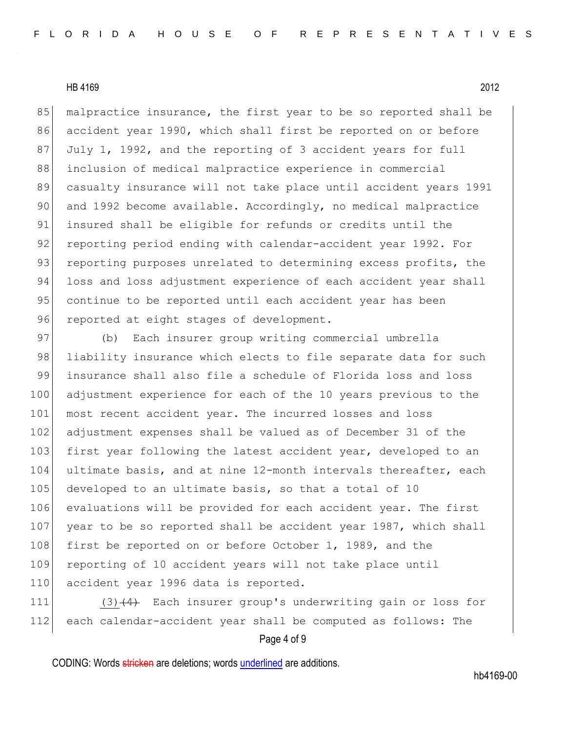85 malpractice insurance, the first year to be so reported shall be 86 accident year 1990, which shall first be reported on or before 87 July 1, 1992, and the reporting of 3 accident years for full 88 inclusion of medical malpractice experience in commercial 89 casualty insurance will not take place until accident years 1991 90 and 1992 become available. Accordingly, no medical malpractice 91 insured shall be eligible for refunds or credits until the 92 reporting period ending with calendar-accident year 1992. For 93 reporting purposes unrelated to determining excess profits, the 94 loss and loss adjustment experience of each accident year shall 95 continue to be reported until each accident year has been 96 reported at eight stages of development.

97 (b) Each insurer group writing commercial umbrella 98 liability insurance which elects to file separate data for such 99 insurance shall also file a schedule of Florida loss and loss 100 adjustment experience for each of the 10 years previous to the 101 most recent accident year. The incurred losses and loss 102 adjustment expenses shall be valued as of December 31 of the 103 first year following the latest accident year, developed to an 104 ultimate basis, and at nine 12-month intervals thereafter, each 105 developed to an ultimate basis, so that a total of 10 106 evaluations will be provided for each accident year. The first 107 year to be so reported shall be accident year 1987, which shall 108 first be reported on or before October 1, 1989, and the 109 reporting of 10 accident years will not take place until 110 accident year 1996 data is reported.

111 (3) $\left(4\right)$  Each insurer group's underwriting gain or loss for 112 each calendar-accident year shall be computed as follows: The

#### Page 4 of 9

CODING: Words stricken are deletions; words underlined are additions.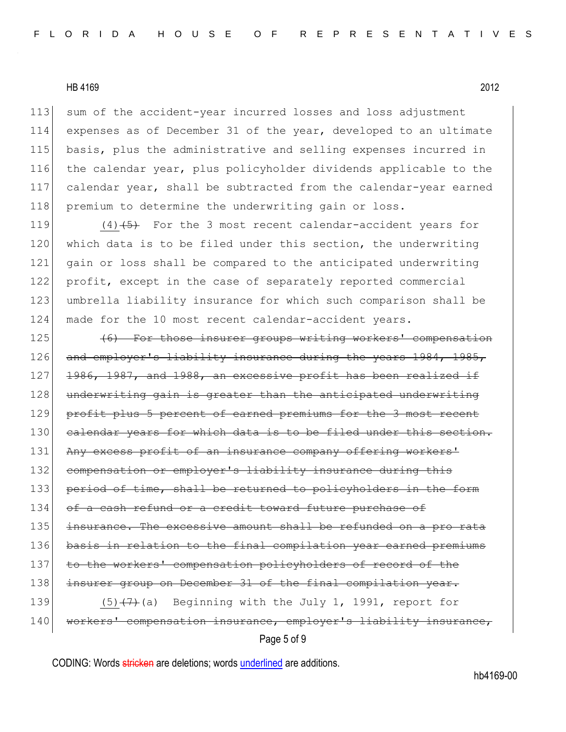sum of the accident-year incurred losses and loss adjustment expenses as of December 31 of the year, developed to an ultimate basis, plus the administrative and selling expenses incurred in the calendar year, plus policyholder dividends applicable to the calendar year, shall be subtracted from the calendar-year earned 118 premium to determine the underwriting gain or loss.

119  $(4)$   $(5)$  For the 3 most recent calendar-accident years for 120 which data is to be filed under this section, the underwriting 121 gain or loss shall be compared to the anticipated underwriting 122 profit, except in the case of separately reported commercial 123 umbrella liability insurance for which such comparison shall be 124 made for the 10 most recent calendar-accident years.

125 (6) For those insurer groups writing workers' compensation 126 and employer's liability insurance during the years 1984, 1985, 127 1986, 1987, and 1988, an excessive profit has been realized if 128 underwriting gain is greater than the anticipated underwriting 129 profit plus 5 percent of earned premiums for the 3 most recent 130 calendar years for which data is to be filed under this section. 131 Any excess profit of an insurance company offering workers' 132 compensation or employer's liability insurance during this 133 period of time, shall be returned to policyholders in the form 134 of a cash refund or a credit toward future purchase of 135 insurance. The excessive amount shall be refunded on a pro rata 136 basis in relation to the final compilation year earned premiums 137 to the workers' compensation policyholders of record of the 138 insurer group on December 31 of the final compilation year. 139  $(5)$   $(7)$  (a) Beginning with the July 1, 1991, report for 140 workers' compensation insurance, employer's liability insurance,

## Page 5 of 9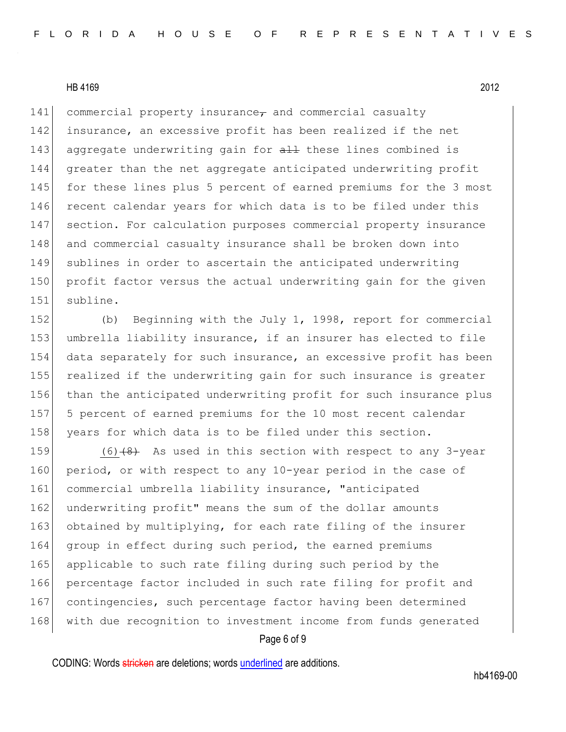141 commercial property insurance $\tau$  and commercial casualty 142 insurance, an excessive profit has been realized if the net 143 aggregate underwriting gain for all these lines combined is 144 greater than the net aggregate anticipated underwriting profit 145 for these lines plus 5 percent of earned premiums for the 3 most 146 recent calendar years for which data is to be filed under this 147 section. For calculation purposes commercial property insurance 148 and commercial casualty insurance shall be broken down into 149 sublines in order to ascertain the anticipated underwriting 150 profit factor versus the actual underwriting gain for the given 151 subline.

152 (b) Beginning with the July 1, 1998, report for commercial 153 umbrella liability insurance, if an insurer has elected to file 154 data separately for such insurance, an excessive profit has been 155 realized if the underwriting gain for such insurance is greater 156 than the anticipated underwriting profit for such insurance plus 157 5 percent of earned premiums for the 10 most recent calendar 158 years for which data is to be filed under this section.

159  $(6)$   $(8)$  As used in this section with respect to any 3-year 160 period, or with respect to any 10-year period in the case of 161 commercial umbrella liability insurance, "anticipated 162 underwriting profit" means the sum of the dollar amounts 163 obtained by multiplying, for each rate filing of the insurer 164 group in effect during such period, the earned premiums 165 applicable to such rate filing during such period by the 166 percentage factor included in such rate filing for profit and 167 contingencies, such percentage factor having been determined 168 with due recognition to investment income from funds generated

## Page 6 of 9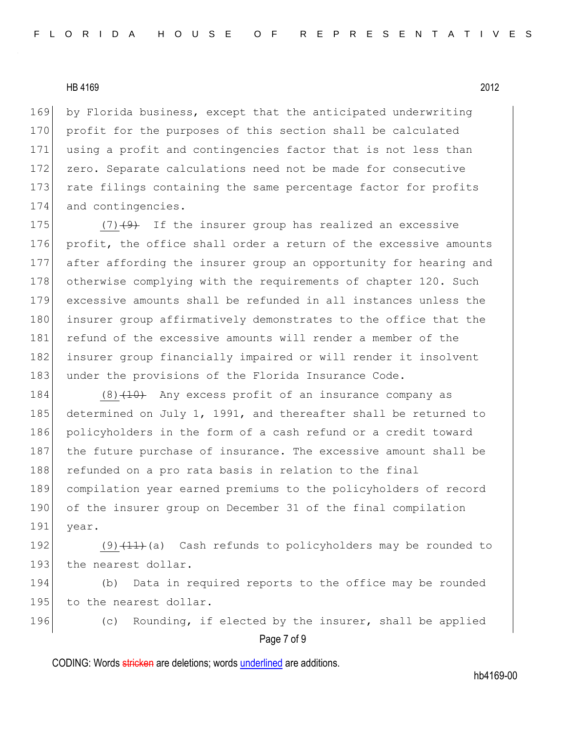169 by Florida business, except that the anticipated underwriting 170 profit for the purposes of this section shall be calculated 171 using a profit and contingencies factor that is not less than 172 zero. Separate calculations need not be made for consecutive 173 rate filings containing the same percentage factor for profits 174 and contingencies.

175  $(7)$   $(9)$  If the insurer group has realized an excessive 176 profit, the office shall order a return of the excessive amounts 177 after affording the insurer group an opportunity for hearing and 178 otherwise complying with the requirements of chapter 120. Such 179 excessive amounts shall be refunded in all instances unless the 180 insurer group affirmatively demonstrates to the office that the 181 refund of the excessive amounts will render a member of the 182 insurer group financially impaired or will render it insolvent 183 under the provisions of the Florida Insurance Code.

184 (8)<del>(10)</del> Any excess profit of an insurance company as 185 determined on July 1, 1991, and thereafter shall be returned to 186 policyholders in the form of a cash refund or a credit toward 187 the future purchase of insurance. The excessive amount shall be 188 refunded on a pro rata basis in relation to the final 189 compilation year earned premiums to the policyholders of record 190 of the insurer group on December 31 of the final compilation 191 year.

192  $(9)$   $(11)$  (a) Cash refunds to policyholders may be rounded to 193 the nearest dollar.

194 (b) Data in required reports to the office may be rounded 195 to the nearest dollar.

196 (c) Rounding, if elected by the insurer, shall be applied

Page 7 of 9

CODING: Words stricken are deletions; words underlined are additions.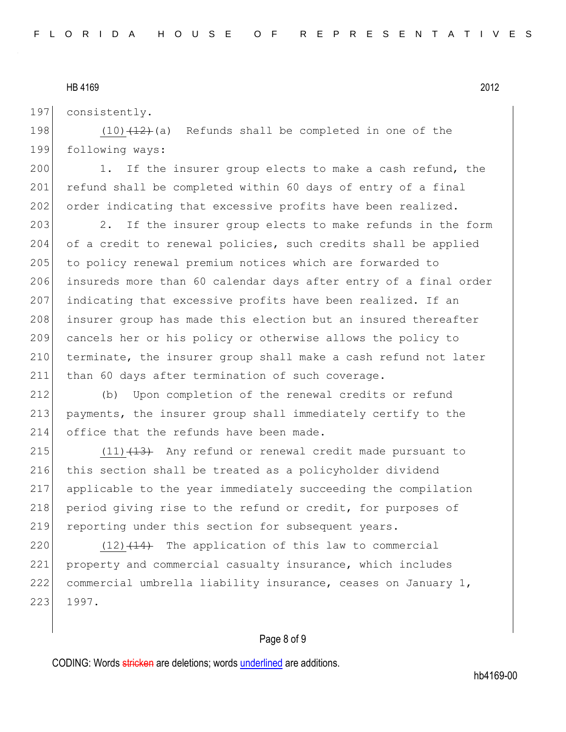197 consistently.

198  $(10)$   $(12)$  (a) Refunds shall be completed in one of the 199 following ways:

200 1. If the insurer group elects to make a cash refund, the 201 refund shall be completed within 60 days of entry of a final 202 order indicating that excessive profits have been realized.

203 2. If the insurer group elects to make refunds in the form 204 of a credit to renewal policies, such credits shall be applied 205 to policy renewal premium notices which are forwarded to 206 insureds more than 60 calendar days after entry of a final order 207 indicating that excessive profits have been realized. If an 208 insurer group has made this election but an insured thereafter 209 cancels her or his policy or otherwise allows the policy to 210 terminate, the insurer group shall make a cash refund not later 211 than 60 days after termination of such coverage.

212 (b) Upon completion of the renewal credits or refund 213 payments, the insurer group shall immediately certify to the 214 office that the refunds have been made.

215  $(11)$   $(13)$  Any refund or renewal credit made pursuant to 216 this section shall be treated as a policyholder dividend 217 applicable to the year immediately succeeding the compilation 218 period giving rise to the refund or credit, for purposes of 219 reporting under this section for subsequent years.

220  $(12)$   $(14)$  The application of this law to commercial 221 property and commercial casualty insurance, which includes 222 commercial umbrella liability insurance, ceases on January 1, 223 1997.

#### Page 8 of 9

CODING: Words stricken are deletions; words underlined are additions.